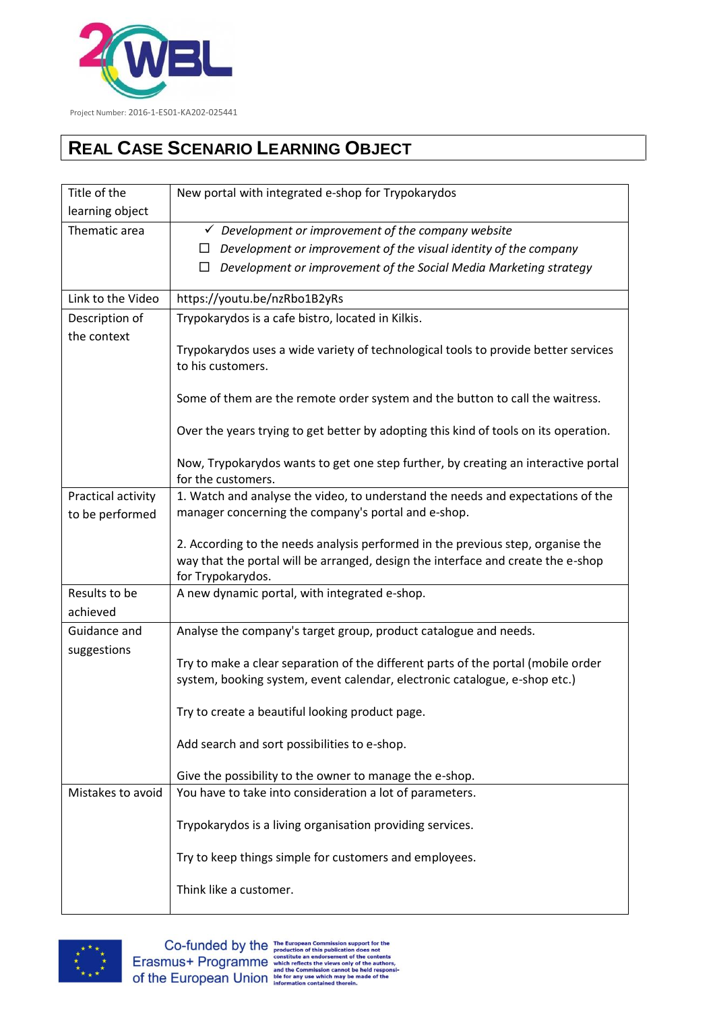

## **REAL CASE SCENARIO LEARNING OBJECT**

| Title of the       | New portal with integrated e-shop for Trypokarydos                                                                                                                  |
|--------------------|---------------------------------------------------------------------------------------------------------------------------------------------------------------------|
| learning object    |                                                                                                                                                                     |
| Thematic area      | $\checkmark$ Development or improvement of the company website                                                                                                      |
|                    | Development or improvement of the visual identity of the company<br>ப                                                                                               |
|                    | Development or improvement of the Social Media Marketing strategy<br>□                                                                                              |
| Link to the Video  | https://youtu.be/nzRbo1B2yRs                                                                                                                                        |
| Description of     | Trypokarydos is a cafe bistro, located in Kilkis.                                                                                                                   |
| the context        |                                                                                                                                                                     |
|                    | Trypokarydos uses a wide variety of technological tools to provide better services<br>to his customers.                                                             |
|                    | Some of them are the remote order system and the button to call the waitress.                                                                                       |
|                    | Over the years trying to get better by adopting this kind of tools on its operation.                                                                                |
|                    | Now, Trypokarydos wants to get one step further, by creating an interactive portal<br>for the customers.                                                            |
| Practical activity | 1. Watch and analyse the video, to understand the needs and expectations of the                                                                                     |
| to be performed    | manager concerning the company's portal and e-shop.                                                                                                                 |
|                    |                                                                                                                                                                     |
|                    | 2. According to the needs analysis performed in the previous step, organise the<br>way that the portal will be arranged, design the interface and create the e-shop |
|                    | for Trypokarydos.                                                                                                                                                   |
| Results to be      | A new dynamic portal, with integrated e-shop.                                                                                                                       |
| achieved           |                                                                                                                                                                     |
| Guidance and       | Analyse the company's target group, product catalogue and needs.                                                                                                    |
| suggestions        |                                                                                                                                                                     |
|                    | Try to make a clear separation of the different parts of the portal (mobile order<br>system, booking system, event calendar, electronic catalogue, e-shop etc.)     |
|                    |                                                                                                                                                                     |
|                    | Try to create a beautiful looking product page.                                                                                                                     |
|                    | Add search and sort possibilities to e-shop.                                                                                                                        |
|                    | Give the possibility to the owner to manage the e-shop.                                                                                                             |
| Mistakes to avoid  | You have to take into consideration a lot of parameters.                                                                                                            |
|                    | Trypokarydos is a living organisation providing services.                                                                                                           |
|                    | Try to keep things simple for customers and employees.                                                                                                              |
|                    | Think like a customer.                                                                                                                                              |